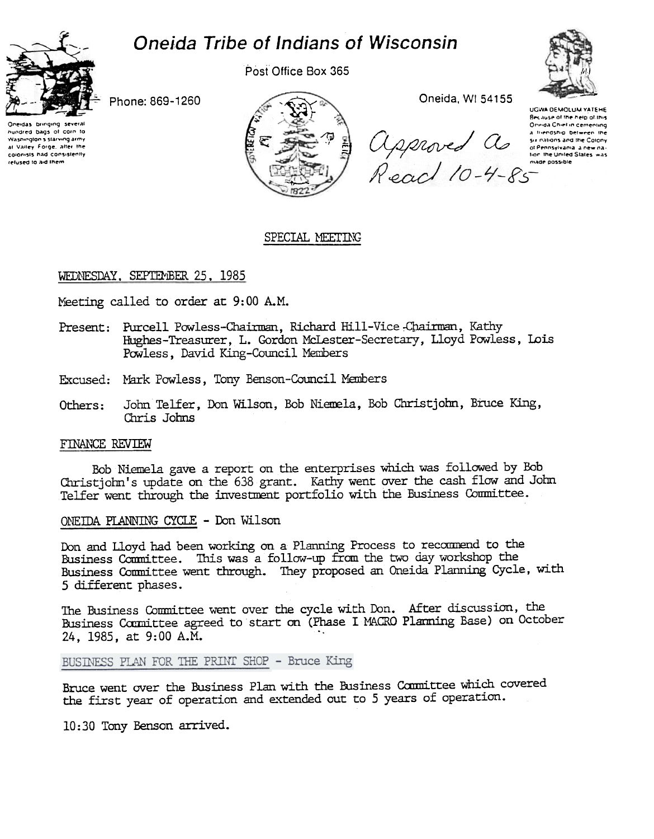

Post Office Box 365



Phone: 869-1260

Oneidas bringing several nundred bags of corn to at Valley Forge, after the colorists had consistently refused to aid them



Because of the help of this<br>Ochimical Chief in cemening<br>a liverosity of the Colony<br>of Pennsylvania a new na-

Oneida. WI 54155

UGWA DEMOLUM YATEHE<br>Because of the help of this

## SPECIAL MEETING

## WEDNESDAY, SEPTEMBER 25, 1985

Meeting called to order at 9:00 A.M.

- Present: Purcell Powless-Chairman, Richard Hill-Vice Chairman, Kathy Hughes-Treasurer, L. Gordon McLester-Secretary, Lloyd Powless, Lois Powless, David King-Council Members
- Excused: Mark Powless, Tony Benson-Council Members
- John Telfer, Don Wilson, Bob Niemela, Bob Christjohn, Bruce King, Chris Johns Others:

## FINANCE REVIEW

Bob Niemela gave a report on the enterprises which was followed by Bob Christjohn's update on the 638 grant. Kathy went over the cash flow and John Telfer went through the investment portfolio with the Business Committee.

## ONEIDA PLANNING CYCLE - Don Wilson

Don and Lloyd had been working on a Planning Process to recommend to the Business Comnittee. This was a follow-up from the two day workshop the Business Committee went through. They proposed an Oneida Planning Cycle, with 5 different phases.

The Business Committee went over the cycle with Don. After discussion, the Business Committee agreed to start on (Phase I MACRO Planning Base) on October 24. 1985. at 9:00 A.M.

BUSINESS PLAN FOR THE PRINT SHOP - Bruce King

Bruce went over the Business Plan with the Business Committee which covered the first year of operation and extended out to 5 years of operation.

10: 30 Tony Benson arrived.